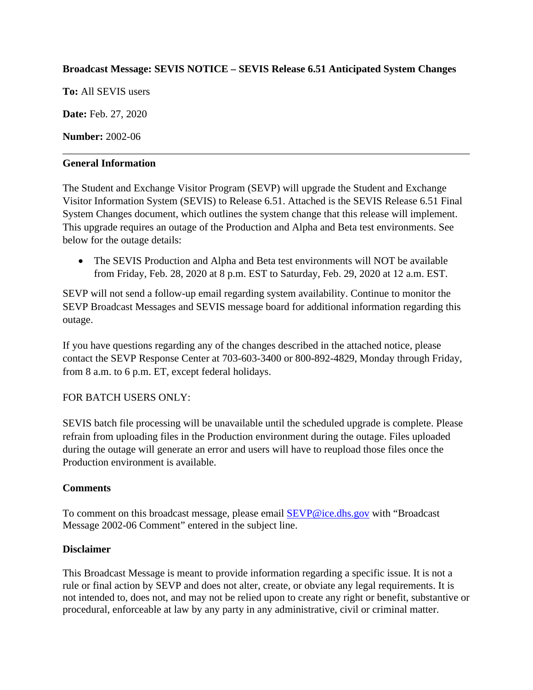# **Broadcast Message: SEVIS NOTICE – SEVIS Release 6.51 Anticipated System Changes**

**To:** All SEVIS users

**Date:** Feb. 27, 2020

**Number:** 2002-06

### **General Information**

The Student and Exchange Visitor Program (SEVP) will upgrade the Student and Exchange Visitor Information System (SEVIS) to Release 6.51. Attached is the SEVIS Release 6.51 Final System Changes document, which outlines the system change that this release will implement. This upgrade requires an outage of the Production and Alpha and Beta test environments. See below for the outage details:

• The SEVIS Production and Alpha and Beta test environments will NOT be available from Friday, Feb. 28, 2020 at 8 p.m. EST to Saturday, Feb. 29, 2020 at 12 a.m. EST.

SEVP will not send a follow-up email regarding system availability. Continue to monitor the SEVP Broadcast Messages and SEVIS message board for additional information regarding this outage.

If you have questions regarding any of the changes described in the attached notice, please contact the SEVP Response Center at 703-603-3400 or 800-892-4829, Monday through Friday, from 8 a.m. to 6 p.m. ET, except federal holidays.

# FOR BATCH USERS ONLY:

SEVIS batch file processing will be unavailable until the scheduled upgrade is complete. Please refrain from uploading files in the Production environment during the outage. Files uploaded during the outage will generate an error and users will have to reupload those files once the Production environment is available.

### **Comments**

To comment on this broadcast message, please email [SEVP@ice.dhs.gov](mailto:SEVP@ice.dhs.gov) with "Broadcast Message 2002-06 Comment" entered in the subject line.

### **Disclaimer**

This Broadcast Message is meant to provide information regarding a specific issue. It is not a rule or final action by SEVP and does not alter, create, or obviate any legal requirements. It is not intended to, does not, and may not be relied upon to create any right or benefit, substantive or procedural, enforceable at law by any party in any administrative, civil or criminal matter.